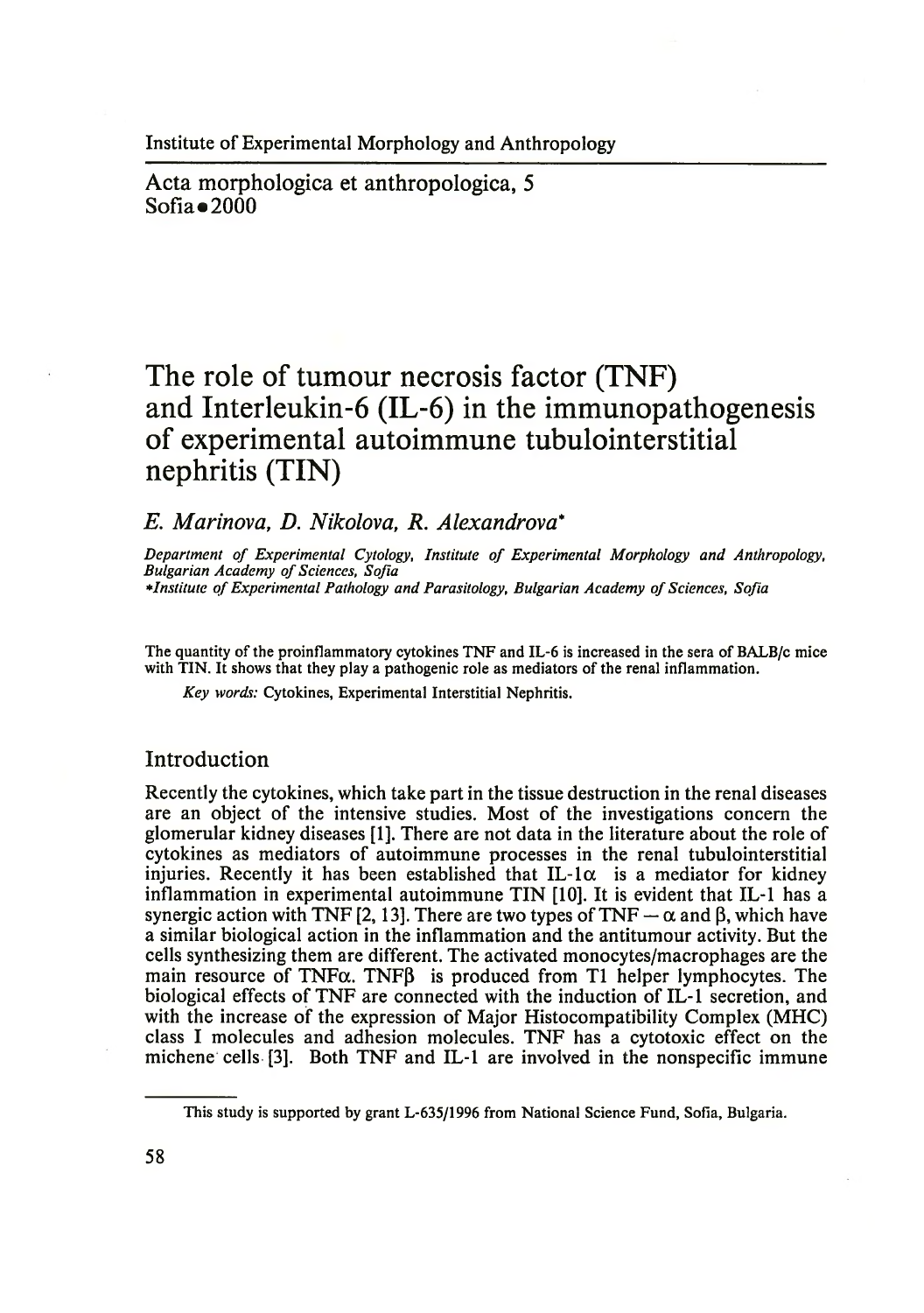Institute of Experimental Morphology and Anthropology

Acta morphologica et anthropologica, 5  $Sofia$   $2000$ 

# **The role of tumour necrosis factor (TNF) and Interleukin-6 (IL-6) in the immunopathogenesis of experimental autoimmune tubulointerstitial nephritis (TIN)**

## *E. Marinova, D. Nikolova, R. Alexandrova*\*

Department of Experimental Cytology, Institute of Experimental Morphology and Anthropology, *Bulgarian Academy of Sciences, Sofia institute o f Experimental Pathology and Parasitology, Bulgarian Academy of Sciences, Sofia*

The quantity of the proinflammatory cytokines TNF and IL-6 is increased in the sera of BALB/c mice with TIN. It shows that they play a pathogenic role as mediators of the renal inflammation.

*Key words:* Cytokines, Experimental Interstitial Nephritis.

## Introduction

Recently the cytokines, which take part in the tissue destruction in the renal diseases are an object of the intensive studies. Most of the investigations concern the glomerular kidney diseases [1]. There are not data in the literature about the role of cytokines as mediators of autoimmune processes in the renal tubulointerstitial injuries. Recently it has been established that IL-1 $\alpha$  is a mediator for kidney inflammation in experimental autoimmune TIN [10]. It is evident that IL-1 has a synergic action with TNF [2, 13]. There are two types of TNF  $-\alpha$  and  $\beta$ , which have a similar biological action in the inflammation and the antitumour activity. But the cells synthesizing them are different. The activated monocytes/macrophages are the main resource of  $TNFA$ . TNF $\beta$  is produced from T1 helper lymphocytes. The biological effects of TNF are connected with the induction of IL-1 secretion, and with the increase of the expression of Major Histocompatibility Complex (MHC) class I molecules and adhesion molecules. TNF has a cytotoxic effect on the michene cells [3]. Both TNF and IL-1 are involved in the nonspecific immune

This study is supported by grant L-635/1996 from National Science Fund, Sofia, Bulgaria.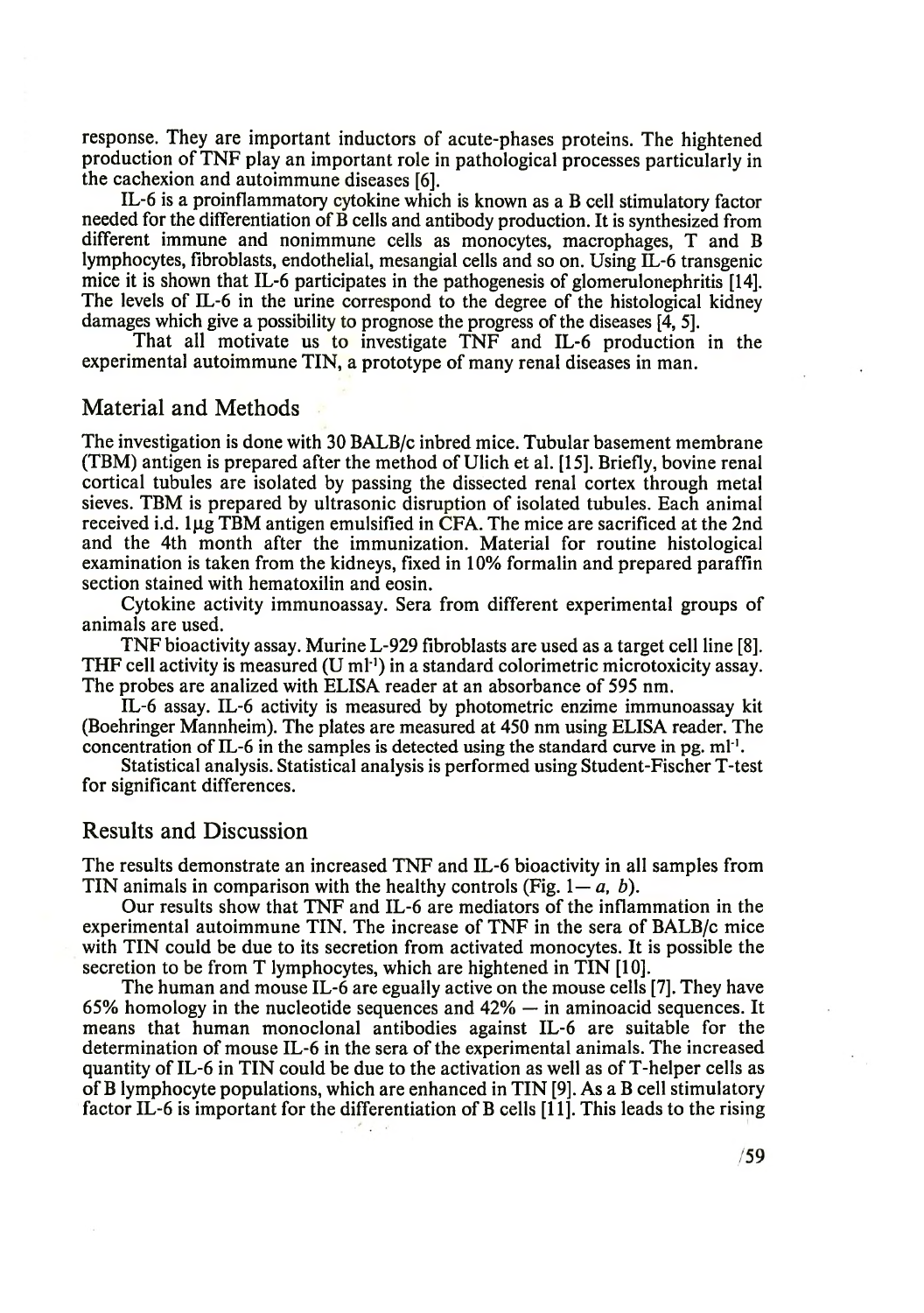response. They are important inductors of acute-phases proteins. The hightened production of TNF play an important role in pathological processes particularly in the cachexion and autoimmune diseases [6].

IL-6 is a proinflammatory cytokine which is known as a B cell stimulatory factor needed for the differentiation of B cells and antibody production. It is synthesized from different immune and nonimmune cells as monocytes, macrophages, T and B lymphocytes, fibroblasts, endothelial, mesangial cells and so on. Using IL-6 transgenic mice it is shown that IL-6 participates in the pathogenesis of glomerulonephritis [14]. The levels of IL-6 in the urine correspond to the degree of the histological kidney damages which give a possibility to prognose the progress of the diseases [4, 5].

That all motivate us to investigate TNF and IL-6 production in the experimental autoimmune TIN, a prototype of many renal diseases in man.

### Material and Methods

The investigation is done with 30 BALB/c inbred mice. Tubular basement membrane (TBM) antigen is prepared after the method of Ulich et al. [15]. Briefly, bovine renal cortical tubules are isolated by passing the dissected renal cortex through metal sieves. TBM is prepared by ultrasonic disruption of isolated tubules. Each animal received i.d. ljug TBM antigen emulsified in CFA. The mice are sacrificed at the 2nd and the 4th month after the immunization. Material for routine histological examination is taken from the kidneys, fixed in 10% formalin and prepared paraffin section stained with hematoxilin and eosin.

Cytokine activity immunoassay. Sera from different experimental groups of animals are used.

TNF bioactivity assay. Murine L-929 fibroblasts are used as a target cell line [8]. THF cell activity is measured  $(U \text{ ml}^{-1})$  in a standard colorimetric microtoxicity assay. The probes are analized with ELISA reader at an absorbance of 595 nm.

IL-6 assay. IL-6 activity is measured by photometric enzime immunoassay kit (Boehringer Mannheim). The plates are measured at 450 nm using ELISA reader. The concentration of IL-6 in the samples is detected using the standard curve in pg.  $ml^{-1}$ .

Statistical analysis. Statistical analysis is performed using Student-Fischer T-test for significant differences.

## Results and Discussion

The results demonstrate an increased TNF and IL-6 bioactivity in all samples from TIN animals in comparison with the healthy controls (Fig. *I— a, b*).

Our results show that TNF and IL-6 are mediators of the inflammation in the experimental autoimmune TIN. The increase of TNF in the sera of BALB/c mice with TIN could be due to its secretion from activated monocytes. It is possible the secretion to be from T lymphocytes, which are hightened in TIN [10].

The human and mouse IL-6 are egually active on the mouse cells [7]. They have 65% homology in the nucleotide sequences and  $42\%$  — in aminoacid sequences. It means that human monoclonal antibodies against IL-6 are suitable for the determination of mouse IL-6 in the sera of the experimental animals. The increased quantity of IL-6 in TIN could be due to the activation as well as of T-helper cells as of B lymphocyte populations, which are enhanced in TIN [9]. As a B cell stimulatory factor IL-6 is important for the differentiation of B cells [11]. This leads to the rising

 $/59$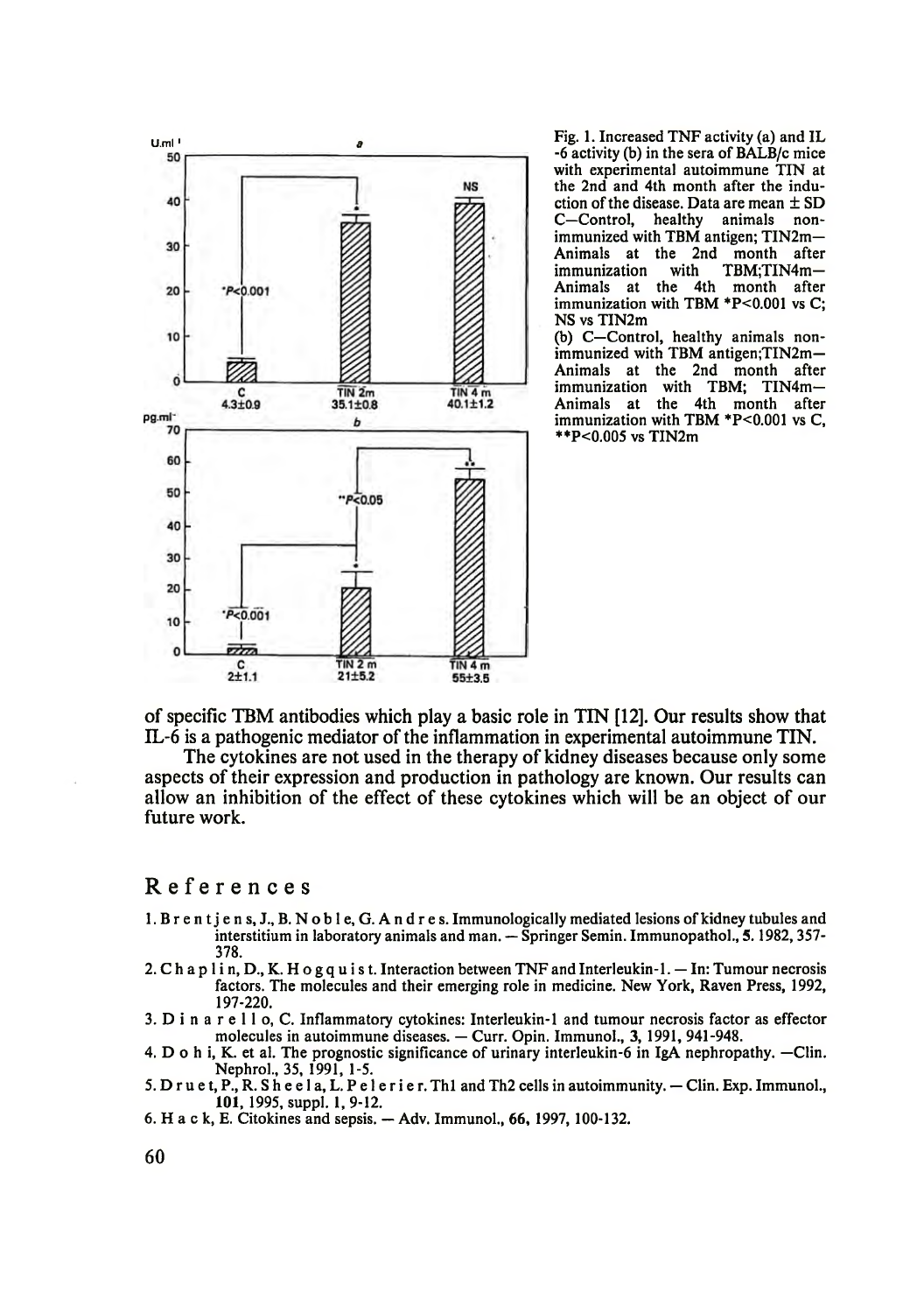

-6 activity (b) in the sera of BALB/c mice with experimental autoimmune TIN at the 2nd and 4th month after the induction of the disease. Data are mean  $\pm$  SD C—Control, healthy animals nonimmunized with TBM antigen; TIN2m— Animals at the 2nd month after<br>immunization with TBM;TIN4m-TBM;TIN4m-Animals at the 4th month after immunization with TBM  $*P<0.001$  vs C; NS vs TIN2m

(b) C—Control, healthy animals nonimmunized with TBM antigen;TIN2m-Animals at the 2nd month after immunization with TBM; TIN4m— Animals at the 4th month after immunization with TBM \*P<0.001 vs C, \*\*P<0.005 vs TIN2m

of specific TBM antibodies which play a basic role in TIN [12]. Our results show that IL-6 is a pathogenic mediator of the inflammation in experimental autoimmune TIN.

The cytokines are not used in the therapy of kidney diseases because only some aspects of their expression and production in pathology are known. Our results can allow an inhibition of the effect of these cytokines which will be an object of our future work.

#### References

- 1. В r e n t j e n s, J., B. N o b 1 e, G. A n d r e s. Immunologically mediated lesions of kidney tubules and interstitium in laboratory animals and man. — Springer Semin. Immunopathol., 5.1982,357- 378.
- 2. C h a p  $1$  i n, D., K. H o g q u i s t. Interaction between TNF and Interleukin- $1$ .  $-$  In: Tumour necrosis factors. The molecules and their emerging role in medicine. New York, Raven Press, 1992, 197-220.
- 3. D i n a r е 11 o, C. Inflammatory cytokines: Interleukin-1 and tumour necrosis factor as effector molecules in autoimmune diseases. — Curr. Opin. Immunol., 3, 1991, 941-948.
- 4. D o h i, K. et al. The prognostic significance of urinary interleukin-6 in IgA nephropathy. —Clin. Nephrol., 35, 1991, 1-5.
- 5. D r u e t, P., R. S h e e l a, L. P e l e r i e r. Th1 and Th2 cells in autoimmunity.  $-$  Clin. Exp. Immunol., 101, 1995, suppl. 1, 9-12.
- 6. H a c k, E. Citokines and sepsis. Adv. Immunol., 66, 1997, 100-132.